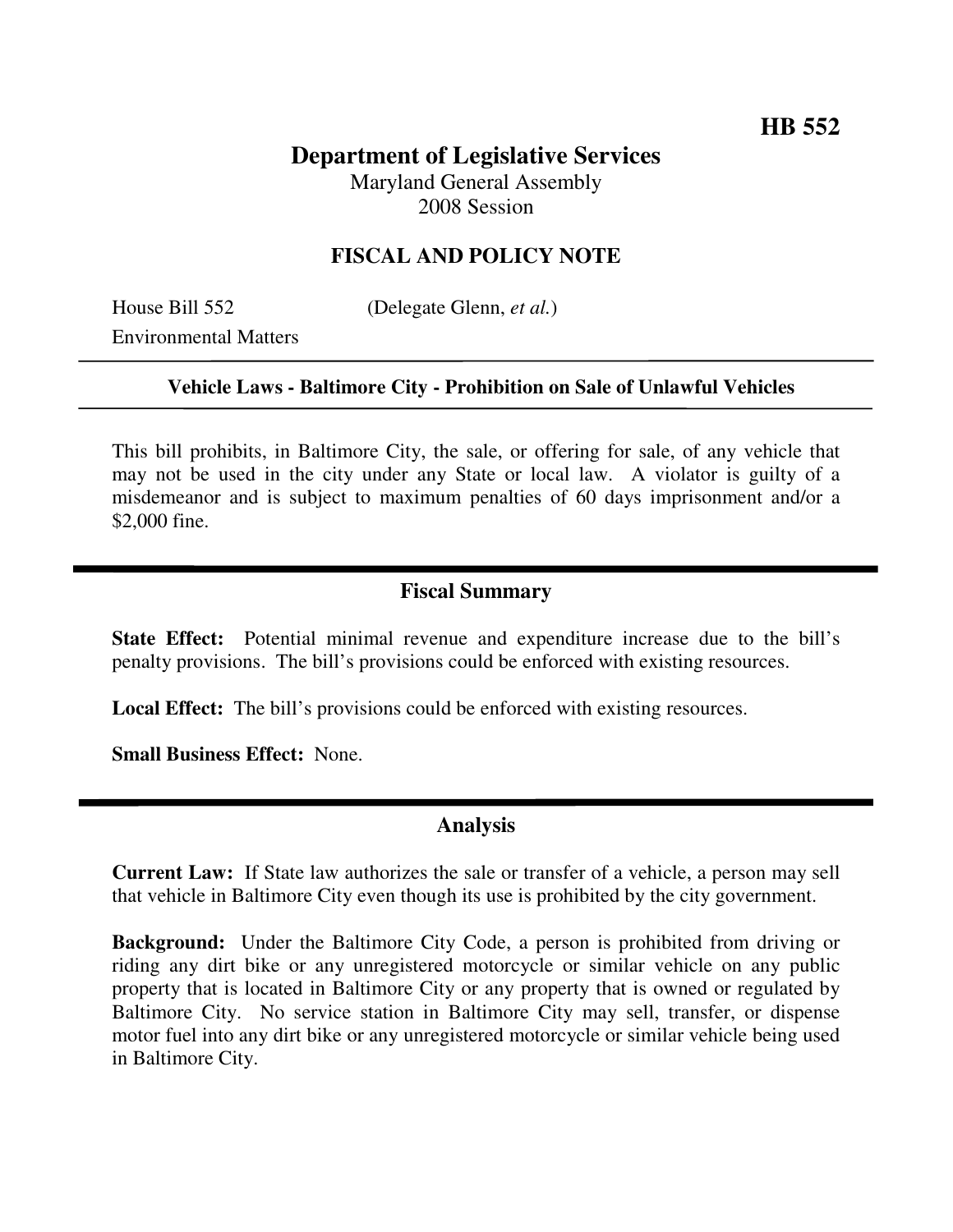# **Department of Legislative Services**

Maryland General Assembly 2008 Session

### **FISCAL AND POLICY NOTE**

House Bill 552 (Delegate Glenn, *et al.*)

Environmental Matters

#### **Vehicle Laws - Baltimore City - Prohibition on Sale of Unlawful Vehicles**

This bill prohibits, in Baltimore City, the sale, or offering for sale, of any vehicle that may not be used in the city under any State or local law. A violator is guilty of a misdemeanor and is subject to maximum penalties of 60 days imprisonment and/or a \$2,000 fine.

#### **Fiscal Summary**

**State Effect:** Potential minimal revenue and expenditure increase due to the bill's penalty provisions. The bill's provisions could be enforced with existing resources.

**Local Effect:** The bill's provisions could be enforced with existing resources.

**Small Business Effect:** None.

#### **Analysis**

**Current Law:** If State law authorizes the sale or transfer of a vehicle, a person may sell that vehicle in Baltimore City even though its use is prohibited by the city government.

**Background:** Under the Baltimore City Code, a person is prohibited from driving or riding any dirt bike or any unregistered motorcycle or similar vehicle on any public property that is located in Baltimore City or any property that is owned or regulated by Baltimore City. No service station in Baltimore City may sell, transfer, or dispense motor fuel into any dirt bike or any unregistered motorcycle or similar vehicle being used in Baltimore City.